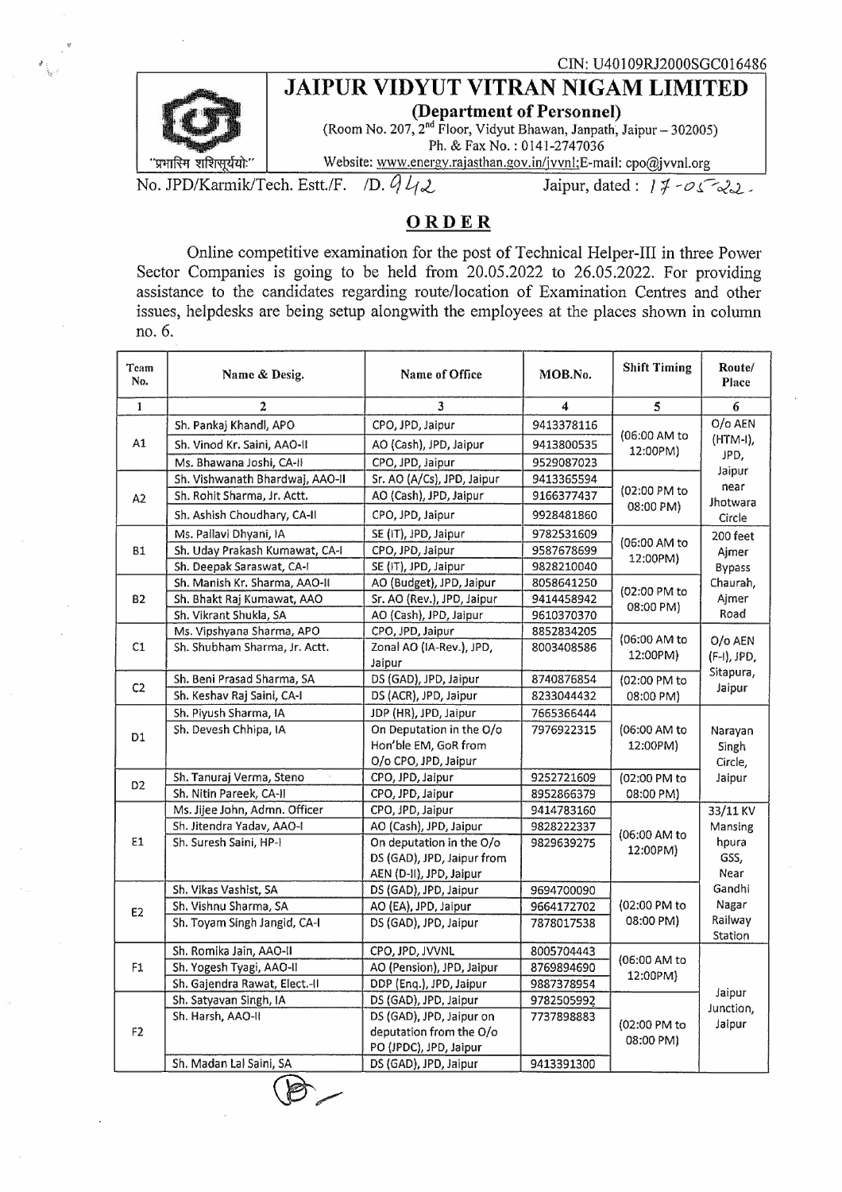## ® . **JAIPUR VIDYUT VITRAN NIGAM LIMITED**



<sup>21</sup> (Room No. 207, 2<sup>nd</sup> Floor, Vidyut Bhawan, Janpath, Jaipur – 302005)<br>Ph. & Fax No.: 0141-2747036<br>
<sup>2</sup> Ph. & Fax No.: 0141-2747036<br>
<sup>2</sup> Ph. & Fax No.: 0141-2747036<br>
<sup>2</sup> Ph. 2014 12747036 (**Department of Personner)**<br>(Room No. 207, 2<sup>nd</sup> Floor, Vidyut Bhawan, Janpath, Jaipur – 302005) Ph. & Fax No.: 0141-2747036<br>Website: www.energy.rajasthan.gov.in/jvvnl;E-mail: cpo@jvvnl.org

<u>"प्रभास्मि शशिसूर्ययोः" | Website: www.energy.rajasthan.gov.in/jvvnl;E-mail: cpo@jvvnl.org</u><br>No. JPD/Karmik/Tech. Estt./F. /D. *Q L<sub>I</sub> 2 Jaipur*, dated: *1 7 - 0 5* 2,

. . .

## **ORDER**

Online competitive examination for the post of Technical Helper-III in three Power Sector Companies is going to be held from 20.05.2022 to 26.05.2022. For providing assistance to the candidates regarding route/location of Examination Centres and other issues, helpdesks are being setup alongwith the employees at the places shown in column no. 6.

| Team<br>No.    | Name & Desig.                   | Name of Office             | MOB.No.    | <b>Shift Timing</b>       | Route/<br>Place                                                                       |
|----------------|---------------------------------|----------------------------|------------|---------------------------|---------------------------------------------------------------------------------------|
| $\mathbf{1}$   | $\mathbf{2}$                    | 3                          | 4          | 5                         | 6                                                                                     |
| A1             | Sh. Pankaj Khandl, APO          | CPO, JPD, Jaipur           | 9413378116 | (06:00 AM to<br>12:00PM)  | O/o AEN<br>(HTM-I),<br>JPD,<br>Jaipur<br>near<br>Jhotwara<br>Circle                   |
|                | Sh. Vinod Kr. Saini, AAO-II     | AO (Cash), JPD, Jaipur     | 9413800535 |                           |                                                                                       |
|                | Ms. Bhawana Joshi, CA-II        | CPO, JPD, Jaipur           | 9529087023 |                           |                                                                                       |
| A2             | Sh. Vishwanath Bhardwaj, AAO-II | Sr. AO (A/Cs), JPD, Jaipur | 9413365594 | (02:00 PM to<br>08:00 PM) |                                                                                       |
|                | Sh. Rohit Sharma, Jr. Actt.     | AO (Cash), JPD, Jaipur     | 9166377437 |                           |                                                                                       |
|                | Sh. Ashish Choudhary, CA-II     | CPO, JPD, Jaipur           | 9928481860 |                           |                                                                                       |
| <b>B1</b>      | Ms. Pallavi Dhyani, IA          | SE (IT), JPD, Jaipur       | 9782531609 | (06:00 AM to<br>12:00PM)  | 200 feet<br>Ajmer<br><b>Bypass</b><br>Chaurah,<br>Ajmer<br>Road                       |
|                | Sh. Uday Prakash Kumawat, CA-I  | CPO, JPD, Jaipur           | 9587678699 |                           |                                                                                       |
|                | Sh. Deepak Saraswat, CA-I       | SE (IT), JPD, Jaipur       | 9828210040 |                           |                                                                                       |
| <b>B2</b>      | Sh. Manish Kr. Sharma, AAO-II   | AO (Budget), JPD, Jaipur   | 8058641250 | (02:00 PM to<br>08:00 PM) |                                                                                       |
|                | Sh. Bhakt Raj Kumawat, AAO      | Sr. AO (Rev.), JPD, Jaipur | 9414458942 |                           |                                                                                       |
|                | Sh. Vikrant Shukla, SA          | AO (Cash), JPD, Jaipur     | 9610370370 |                           |                                                                                       |
| C1             | Ms. Vipshyana Sharma, APO       | CPO, JPD, Jaipur           | 8852834205 |                           | O/o AEN<br>(F-I), JPD,<br>Sitapura,<br>Jaipur                                         |
|                | Sh. Shubham Sharma, Jr. Actt.   | Zonal AO (IA-Rev.), JPD,   | 8003408586 | (06:00 AM to<br>12:00PM)  |                                                                                       |
|                |                                 | Jaipur                     |            |                           |                                                                                       |
| C <sub>2</sub> | Sh. Beni Prasad Sharma, SA      | DS (GAD), JPD, Jaipur      | 8740876854 | (02:00 PM to<br>08:00 PM) |                                                                                       |
|                | Sh. Keshav Raj Saini, CA-I      | DS (ACR), JPD, Jaipur      | 8233044432 |                           |                                                                                       |
| D <sub>1</sub> | Sh. Piyush Sharma, IA           | JDP (HR), JPD, Jaipur      | 7665366444 |                           | Narayan                                                                               |
|                | Sh. Devesh Chhipa, IA           | On Deputation in the O/o   | 7976922315 | (06:00 AM to              |                                                                                       |
|                |                                 | Hon'ble EM, GoR from       |            | 12:00PM)                  | Singh                                                                                 |
|                |                                 | O/o CPO, JPD, Jaipur       |            |                           | Circle,<br>Jaipur                                                                     |
| D <sub>2</sub> | Sh. Tanuraj Verma, Steno        | CPO, JPD, Jaipur           | 9252721609 | (02:00 PM to<br>08:00 PM) |                                                                                       |
|                | Sh. Nitin Pareek, CA-II         | CPO, JPD, Jaipur           | 8952866379 |                           |                                                                                       |
|                | Ms. Jijee John, Admn. Officer   | CPO, JPD, Jaipur           | 9414783160 | (06:00 AM to<br>12:00PM)  | 33/11 KV<br>Mansing<br>hpura<br>GSS,<br>Near<br>Gandhi<br>Nagar<br>Railway<br>Station |
|                | Sh. Jitendra Yadav, AAO-I       | AO (Cash), JPD, Jaipur     | 9828222337 |                           |                                                                                       |
| E1             | Sh. Suresh Saini, HP-I          | On deputation in the O/o   | 9829639275 |                           |                                                                                       |
|                |                                 | DS (GAD), JPD, Jaipur from |            |                           |                                                                                       |
|                |                                 | AEN (D-II), JPD, Jaipur    |            |                           |                                                                                       |
| E <sub>2</sub> | Sh. Vikas Vashist, SA           | DS (GAD), JPD, Jaipur      | 9694700090 | (02:00 PM to<br>08:00 PM) |                                                                                       |
|                | Sh. Vishnu Sharma, SA           | AO (EA), JPD, Jaipur       | 9664172702 |                           |                                                                                       |
|                | Sh. Toyam Singh Jangid, CA-I    | DS (GAD), JPD, Jaipur      | 7878017538 |                           |                                                                                       |
| F1             | Sh. Romika Jain, AAO-II         | CPO, JPD, JVVNL            | 8005704443 | (06:00 AM to<br>12:00PM)  | Jaipur<br>Junction,<br>Jaipur                                                         |
|                | Sh. Yogesh Tyagi, AAO-II        | AO (Pension), JPD, Jaipur  | 8769894690 |                           |                                                                                       |
|                | Sh. Gajendra Rawat, Elect.-II   | DDP (Enq.), JPD, Jaipur    | 9887378954 |                           |                                                                                       |
| F2             | Sh. Satyavan Singh, IA          | DS (GAD), JPD, Jaipur      | 9782505992 | (02:00 PM to<br>08:00 PM) |                                                                                       |
|                | Sh. Harsh, AAO-II               | DS (GAD), JPD, Jaipur on   | 7737898883 |                           |                                                                                       |
|                |                                 | deputation from the O/o    |            |                           |                                                                                       |
|                |                                 | PO (JPDC), JPD, Jaipur     |            |                           |                                                                                       |
|                | Sh. Madan Lal Saini, SA         | DS (GAD), JPD, Jaipur      | 9413391300 |                           |                                                                                       |